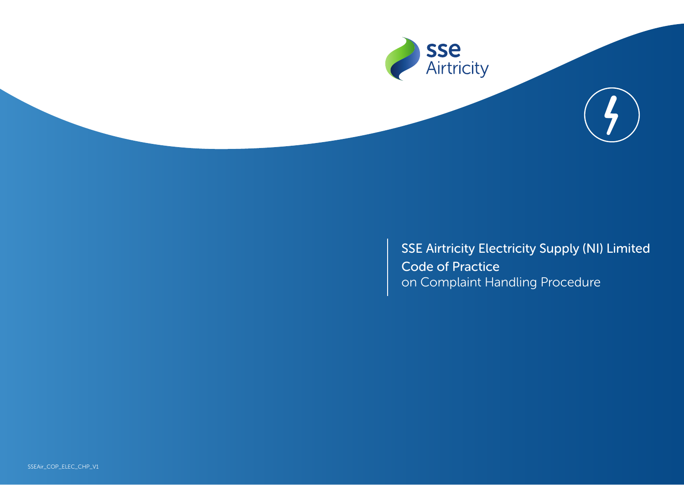

SSE Airtricity Electricity Supply (NI) Limited Code of Practice on Complaint Handling Procedure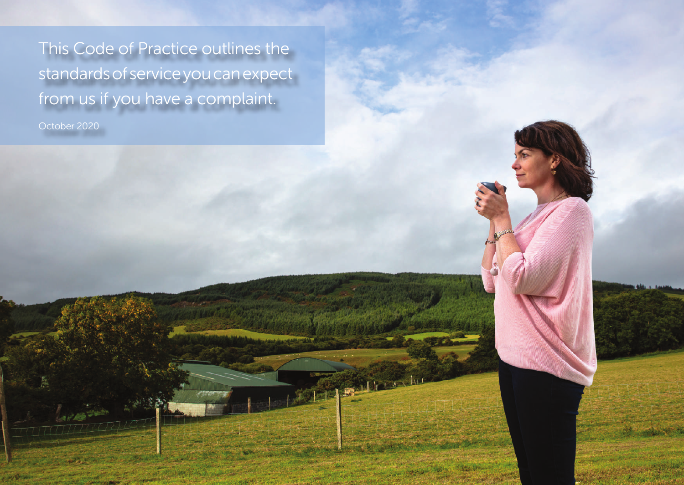This Code of Practice outlines the standards of service you can expect from us if you have a complaint.

Pillet A

October 2020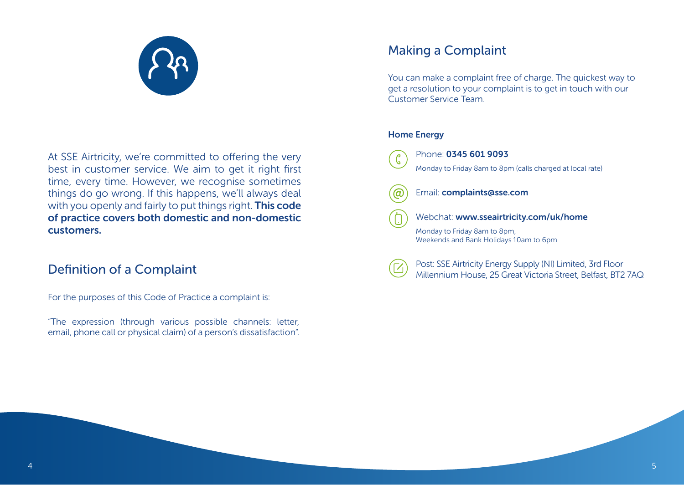

At SSE Airtricity, we're committed to offering the very best in customer service. We aim to get it right first time, every time. However, we recognise sometimes things do go wrong. If this happens, we'll always deal with you openly and fairly to put things right. This code of practice covers both domestic and non-domestic customers.

# Definition of a Complaint

For the purposes of this Code of Practice a complaint is:

"The expression (through various possible channels: letter, email, phone call or physical claim) of a person's dissatisfaction".

## Making a Complaint

You can make a complaint free of charge. The quickest way to get a resolution to your complaint is to get in touch with our Customer Service Team.

#### Home Energy



Phone: 0345 601 9093 Monday to Friday 8am to 8pm (calls charged at local rate)

Email: complaints@sse.com

#### Webchat: www.sseairtricity.com/uk/home

Monday to Friday 8am to 8pm, Weekends and Bank Holidays 10am to 6pm

Post: SSE Airtricity Energy Supply (NI) Limited, 3rd Floor Millennium House, 25 Great Victoria Street, Belfast, BT2 7AQ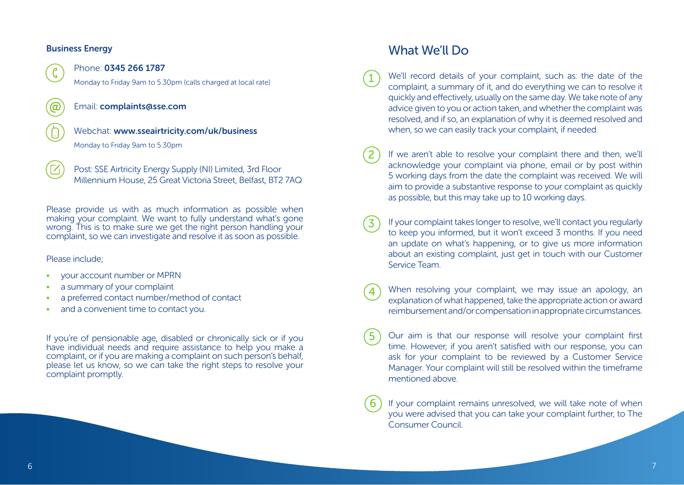#### Business Energy

Phone: 0345 266 1787

Monday to Friday 9am to 5.30pm (calls charged at local rate)

Email: complaints@sse.com

Webchat: www.sseairtricity.com/uk/business

Monday to Friday 9am to 5.30pm

Post: SSE Airtricity Energy Supply (NI) Limited, 3rd Floor Millennium House, 25 Great Victoria Street, Belfast, BT2 7AQ

Please provide us with as much information as possible when making your complaint. We want to fully understand what's gone wrong. This is to make sure we get the right person handling your complaint, so we can investigate and resolve it as soon as possible.

#### Please include;

- your account number or MPRN
- a summary of your complaint
- a preferred contact number/method of contact
- and a convenient time to contact you.

If you're of pensionable age, disabled or chronically sick or if you have individual needs and require assistance to help you make a complaint, or if you are making a complaint on such person's behalf, please let us know, so we can take the right steps to resolve your complaint promptly.

## What We'll Do

2

3

6

- We'll record details of your complaint, such as: the date of the complaint, a summary of it, and do everything we can to resolve it quickly and effectively, usually on the same day. We take note of any advice given to you or action taken, and whether the complaint was resolved, and if so, an explanation of why it is deemed resolved and when, so we can easily track your complaint, if needed. 1
- If we aren't able to resolve your complaint there and then, we'll acknowledge your complaint via phone, email or by post within 5 working days from the date the complaint was received. We will aim to provide a substantive response to your complaint as quickly as possible, but this may take up to 10 working days.
- If your complaint takes longer to resolve, we'll contact you regularly to keep you informed, but it won't exceed 3 months. If you need an update on what's happening, or to give us more information about an existing complaint, just get in touch with our Customer Service Team.
- When resolving your complaint, we may issue an apology, an explanation of what happened, take the appropriate action or award reimbursement and/or compensation in appropriate circumstances. 4
- Our aim is that our response will resolve your complaint first time. However, if you aren't satisfied with our response, you can ask for your complaint to be reviewed by a Customer Service Manager. Your complaint will still be resolved within the timeframe mentioned above. 5

If your complaint remains unresolved, we will take note of when you were advised that you can take your complaint further, to The Consumer Council.